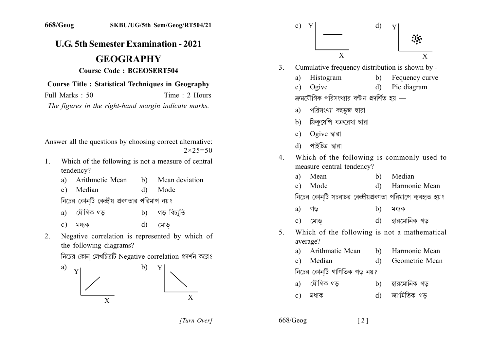## **U.G. 5th Semester Examination - 2021**

## **GEOGRAPHY**

## **Course Code: BGEOSERT504**

## **Course Title : Statistical Techniques in Geography**

Full Marks  $\cdot$  50 Time  $\cdot$  2 Hours

The figures in the right-hand margin indicate marks.

Answer all the questions by choosing correct alternative:  $2 \times 25 = 50$ 

- Which of the following is not a measure of central  $1_{-}$ tendency?
	- a) Arithmetic Mean Mean deviation  $h)$
	- c) Median  $\mathbf{d}$ Mode

নিচের কোনটি কেন্দ্রীয় প্রবণতার পরিমাপ নয়?

- যৌগিক গড গড বিচাতি  $b)$ a) মধ্যক  $d)$ মোড  $c)$
- Negative correlation is represented by which of  $2<sub>1</sub>$ the following diagrams?

নিচের কোন লেখচিত্রটি Negative correlation প্রদর্শন করে?





[Turn Over]

 $668/Geog$  $\lceil 2 \rceil$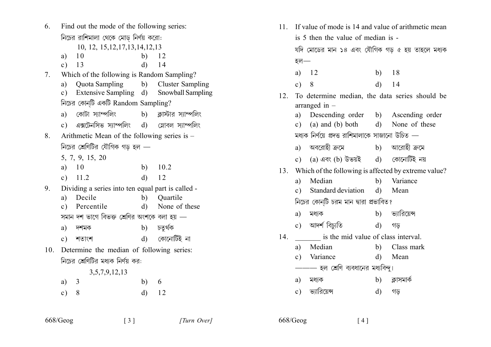Find out the mode of the following series: 6. নিচের রাশিমালা থেকে মোড নির্ণয় করো: 10, 12, 15, 12, 17, 13, 14, 12, 13 a)  $10$ b)  $12$ c)  $13$  $d)$  14 Which of the following is Random Sampling?  $7<sub>1</sub>$ **Quota Sampling** b) Cluster Sampling  $a)$ c) Extensive Sampling d) **Snowball Sampling** নিচের কোনটি একটি Random Sampling? a) কোটা স্যাম্পলিং b) ক্লাস্টার স্যাম্পলিং  $\mathbf c$ ) এক্সটেনসিভ স্যাম্পলিং  $\mathbf d$ ) স্লোবল স্যাম্পলিং Arithmetic Mean of the following series is –  $8<sup>1</sup>$ নিচের শ্রেণিটির যৌগিক গড হল — 5, 7, 9, 15, 20 a)  $10$ 10.2  $b)$ c)  $11.2$  $d)$ 12 Dividing a series into ten equal part is called - $9<sub>1</sub>$ a) Decile  $b)$ Ouartile c) Percentile  $d)$ None of these সমান দশ ভাগে বিভক্ত শ্রেণির অংশকে বলা হয় — চতুৰ্থক a) দশমক  $b)$ কোনোটিই না  $d)$  $c)$  শতাংশ 10. Determine the median of following series: নিচের শ্রেণিটির মধ্যক নির্ণয় কর: 3,5,7,9,12,13  $a) 3$  $b) 6$  $c) 8$  $d)$ 12

 $\begin{bmatrix} 3 \end{bmatrix}$ 

| 1.               | If value of mode is 14 and value of arithmetic mean  |                                                  |              |                 |  |
|------------------|------------------------------------------------------|--------------------------------------------------|--------------|-----------------|--|
|                  |                                                      | is 5 then the value of median is -               |              |                 |  |
|                  |                                                      | যদি মোডের মান ১৪ এবং যৌগিক গড় ৫ হয় তাহলে মধ্যক |              |                 |  |
|                  | হল $-$                                               |                                                  |              |                 |  |
|                  |                                                      | a) $12$                                          |              | b) $18$         |  |
|                  | c) 8                                                 |                                                  |              | $d)$ 14         |  |
| $\overline{2}$ . | To determine median, the data series should be       |                                                  |              |                 |  |
|                  | arranged in $-$                                      |                                                  |              |                 |  |
|                  |                                                      | a) Descending order b) Ascending order           |              |                 |  |
|                  |                                                      | c) (a) and (b) both d) None of these             |              |                 |  |
|                  | মধ্যক নির্ণয়ে প্রদত্ত রাশিমালাকে সাজানো উচিত —      |                                                  |              |                 |  |
|                  |                                                      | a) অবরোহী ক্রমে                                  |              | b) আরোহী ক্রমে  |  |
|                  |                                                      | c) $(a)$ এবং $(b)$ উভয়ই $(d)$ কোনোটিই নয়       |              |                 |  |
| 13.              | Which of the following is affected by extreme value? |                                                  |              |                 |  |
|                  | a)                                                   | Median                                           |              | b) Variance     |  |
|                  |                                                      | c) Standard deviation                            |              | d) Mean         |  |
|                  | নিচের কোন্টি চরম মান দ্বারা প্রভাবিত?                |                                                  |              |                 |  |
|                  |                                                      | a) মধ্যক                                         |              | b) ভ্যারিয়েন্স |  |
|                  |                                                      | c) আৰ্দৰ্শ বিচ্যুতি                              |              | d) গড়          |  |
| $\overline{4}$ . | is the mid value of class interval.                  |                                                  |              |                 |  |
|                  |                                                      | a) Median                                        | b)           | Class mark      |  |
|                  |                                                      | c) Variance                                      | $\rm d)$     | Mean            |  |
|                  | —— হল শ্রেণি ব্যবধানের মধ্যবিন্দু।                   |                                                  |              |                 |  |
|                  |                                                      | a) মধ্যক                                         |              | b) ক্লাসমার্ক   |  |
|                  |                                                      | c) ভ্যারিয়েন্স                                  | $\mathbf{d}$ | গড              |  |
|                  |                                                      |                                                  |              |                 |  |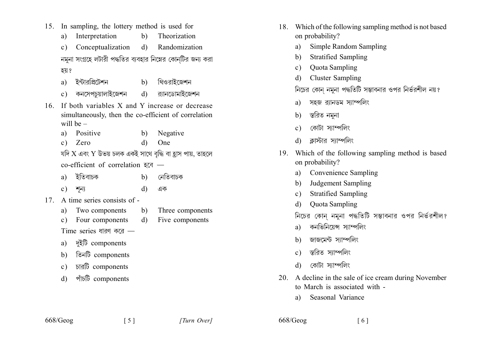- 15. In sampling, the lottery method is used for
	- Interpretation  $b)$ Theorization a)
	- Conceptualization  $d)$ Randomization  $\mathbf{c}$ ) নমুনা সংগ্রহে লটারী পদ্ধতির ব্যবহার নিম্নের কোন্টির জন্য করা হয় ?
	- ইন্টারপ্রিটেশন থিওরাইজেশন  $h)$  $a)$
	- কনসেপচয়ালাইজেশন র্ানডোমাইজেশন  $\mathbf{d}$  $c)$
- 16. If both variables X and Y increase or decrease simultaneously, then the co-efficient of correlation will be  $-$ 
	- Positive Negative  $\mathbf{b}$  $\mathbf{a}$
	- Zero  $d$ One  $c)$

যদি  $X$  এবং  $Y$  উভয় চলক একই সাথে বৃদ্ধি বা হাস পায়, তাহলে co-efficient of correlation इति —

- নেতিবাচক ইতিবাচক a)  $h)$
- এক শন্য  $c)$  $\mathbf{d}$
- 17 A time series consists of -
	- Two components Three components a) b)
	- Four components Five components  $\mathbf{d}$  $\mathbf{c}$ )

Time series ধারণ করে —

- দুইটি components a)
- তিনটি components  $h)$
- চারটি components  $\mathbf{c}$ )
- পাঁচটি components  $d$
- 18. Which of the following sampling method is not based on probability?
	- Simple Random Sampling a)
	- **Stratified Sampling**  $b)$
	- **Quota Sampling**  $\mathbf{c}$ )
	- **Cluster Sampling**  $\mathbf{d}$

নিচের কোন নমুনা পদ্ধতিটি সম্ভাবনার ওপর নির্ভরশীল নয়?

- সহজ রানিডম স্যাম্পলিং  $a)$
- স্তরিত নমুনা b)
- কোটা স্যাম্পলিং  $\mathbf{c}$ )
- ক্রাস্টার স্যাম্পলিং  $\mathbf{d}$
- 19. Which of the following sampling method is based on probability?
	- **Convenience Sampling** a)
	- Judgement Sampling b)
	- **Stratified Sampling**  $\mathbf{c}$ )
	- **Ouota Sampling** d)

নিচের কোন নমনা পদ্ধতিটি সম্ভাবনার ওপর নির্ভরশীল?

- কনভিনিয়েন্স স্যাম্পলিং a)
- জাজমেন্ট স্যাম্পলিং  $h)$
- স্করিত স্যাম্পলিং  $c)$
- কোটা স্যাম্পলিং  $\mathbf{d}$
- 20. A decline in the sale of ice cream during November to March is associated with -

 $\lceil 6 \rceil$ 

Seasonal Variance a)

 $668/Geog$